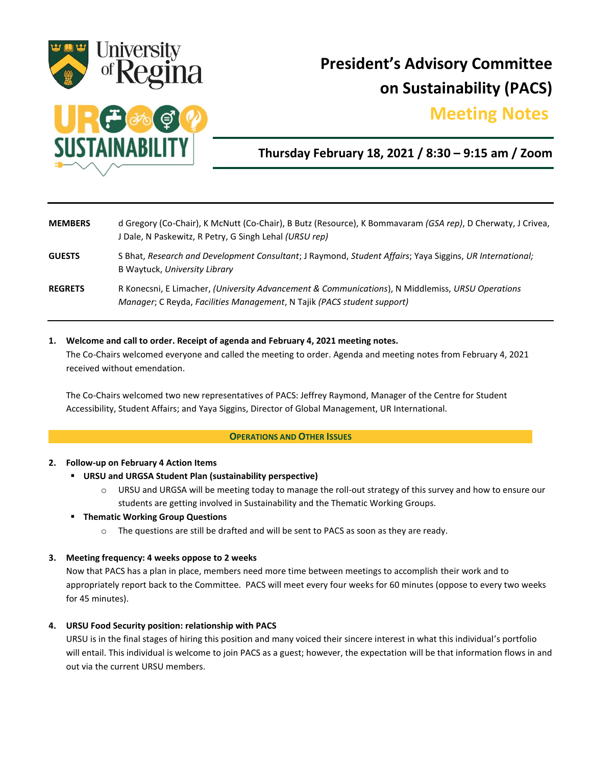

# **President's Advisory Committee on Sustainability (PACS)**

## **Meeting Notes.**



## **Thursday February 18, 2021 / 8:30 – 9:15 am / Zoom**

| <b>MEMBERS</b> | d Gregory (Co-Chair), K McNutt (Co-Chair), B Butz (Resource), K Bommavaram (GSA rep), D Cherwaty, J Crivea,<br>J Dale, N Paskewitz, R Petry, G Singh Lehal (URSU rep)       |
|----------------|-----------------------------------------------------------------------------------------------------------------------------------------------------------------------------|
| <b>GUESTS</b>  | S Bhat, Research and Development Consultant; J Raymond, Student Affairs; Yaya Siggins, UR International;<br>B Waytuck, University Library                                   |
| <b>REGRETS</b> | R Konecsni, E Limacher, (University Advancement & Communications), N Middlemiss, URSU Operations<br>Manager; C Reyda, Facilities Management, N Tajik (PACS student support) |

#### **1. Welcome and call to order. Receipt of agenda and February 4, 2021 meeting notes.**

The Co-Chairs welcomed everyone and called the meeting to order. Agenda and meeting notes from February 4, 2021 received without emendation.

The Co-Chairs welcomed two new representatives of PACS: Jeffrey Raymond, Manager of the Centre for Student Accessibility, Student Affairs; and Yaya Siggins, Director of Global Management, UR International.

#### **OPERATIONS AND OTHER ISSUES**

#### **2. Follow-up on February 4 Action Items**

#### **URSU and URGSA Student Plan (sustainability perspective)**

o URSU and URGSA will be meeting today to manage the roll-out strategy of this survey and how to ensure our students are getting involved in Sustainability and the Thematic Working Groups.

#### **Thematic Working Group Questions**

The questions are still be drafted and will be sent to PACS as soon as they are ready.

#### **3. Meeting frequency: 4 weeks oppose to 2 weeks**

Now that PACS has a plan in place, members need more time between meetings to accomplish their work and to appropriately report back to the Committee. PACS will meet every four weeks for 60 minutes (oppose to every two weeks for 45 minutes).

#### **4. URSU Food Security position: relationship with PACS**

URSU is in the final stages of hiring this position and many voiced their sincere interest in what this individual's portfolio will entail. This individual is welcome to join PACS as a guest; however, the expectation will be that information flows in and out via the current URSU members.